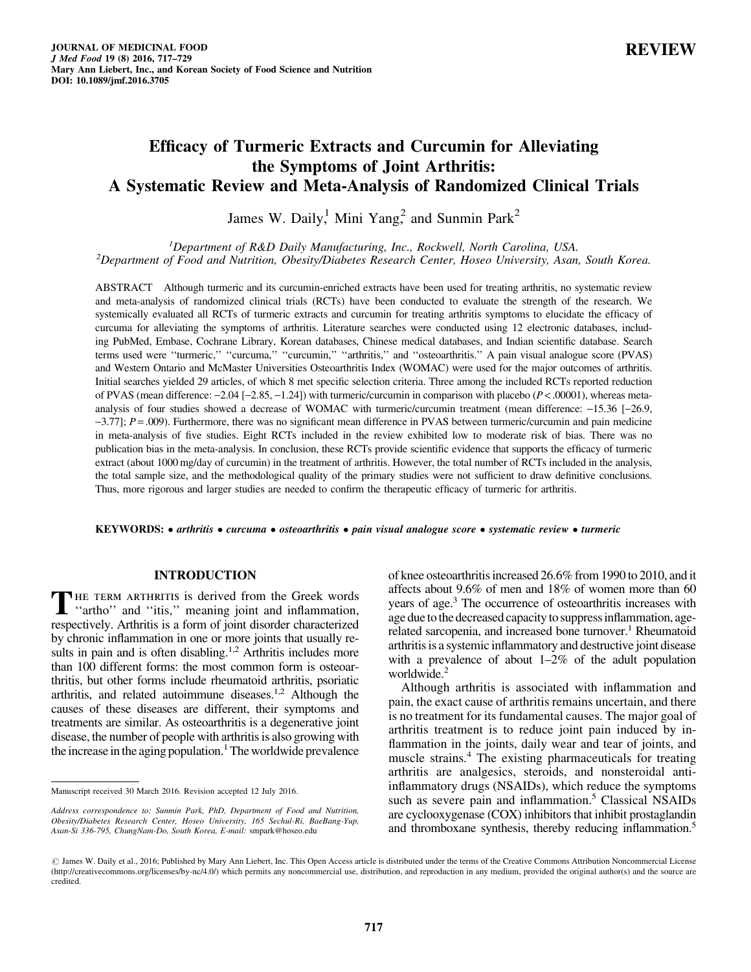# Efficacy of Turmeric Extracts and Curcumin for Alleviating the Symptoms of Joint Arthritis: A Systematic Review and Meta-Analysis of Randomized Clinical Trials

James W. Daily,<sup>1</sup> Mini Yang,<sup>2</sup> and Sunmin Park<sup>2</sup>

<sup>1</sup>Department of R&D Daily Manufacturing, Inc., Rockwell, North Carolina, USA.<br><sup>2</sup>Department of Eood and Nutrition, Obesity/Dighetes Research Center, Hoseo University, Asan  ${}^{2}$ Department of Food and Nutrition, Obesity/Diabetes Research Center, Hoseo University, Asan, South Korea.

ABSTRACT Although turmeric and its curcumin-enriched extracts have been used for treating arthritis, no systematic review and meta-analysis of randomized clinical trials (RCTs) have been conducted to evaluate the strength of the research. We systemically evaluated all RCTs of turmeric extracts and curcumin for treating arthritis symptoms to elucidate the efficacy of curcuma for alleviating the symptoms of arthritis. Literature searches were conducted using 12 electronic databases, including PubMed, Embase, Cochrane Library, Korean databases, Chinese medical databases, and Indian scientific database. Search terms used were ''turmeric,'' ''curcuma,'' ''curcumin,'' ''arthritis,'' and ''osteoarthritis.'' A pain visual analogue score (PVAS) and Western Ontario and McMaster Universities Osteoarthritis Index (WOMAC) were used for the major outcomes of arthritis. Initial searches yielded 29 articles, of which 8 met specific selection criteria. Three among the included RCTs reported reduction of PVAS (mean difference:  $-2.04$  [ $-2.85$ ,  $-1.24$ ]) with turmeric/curcumin in comparison with placebo ( $P < .00001$ ), whereas metaanalysis of four studies showed a decrease of WOMAC with turmeric/curcumin treatment (mean difference: -15.36 [-26.9,  $-3.77$ ];  $P = .009$ ). Furthermore, there was no significant mean difference in PVAS between turmeric/curcumin and pain medicine in meta-analysis of five studies. Eight RCTs included in the review exhibited low to moderate risk of bias. There was no publication bias in the meta-analysis. In conclusion, these RCTs provide scientific evidence that supports the efficacy of turmeric extract (about 1000 mg/day of curcumin) in the treatment of arthritis. However, the total number of RCTs included in the analysis, the total sample size, and the methodological quality of the primary studies were not sufficient to draw definitive conclusions. Thus, more rigorous and larger studies are needed to confirm the therapeutic efficacy of turmeric for arthritis.

KEYWORDS: • arthritis • curcuma • osteoarthritis • pain visual analogue score • systematic review • turmeric

# INTRODUCTION

THE TERM ARTHRITIS is derived from the Greek words "artho" and "itis," meaning joint and inflammation, respectively. Arthritis is a form of joint disorder characterized by chronic inflammation in one or more joints that usually results in pain and is often disabling.<sup>1,2</sup> Arthritis includes more than 100 different forms: the most common form is osteoarthritis, but other forms include rheumatoid arthritis, psoriatic arthritis, and related autoimmune diseases.<sup>1,2</sup> Although the causes of these diseases are different, their symptoms and treatments are similar. As osteoarthritis is a degenerative joint disease, the number of people with arthritis is also growing with the increase in the aging population.<sup>1</sup> The worldwide prevalence of knee osteoarthritis increased 26.6% from 1990 to 2010, and it affects about 9.6% of men and 18% of women more than 60 years of age.<sup>3</sup> The occurrence of osteoarthritis increases with age due to the decreased capacity to suppress inflammation, agerelated sarcopenia, and increased bone turnover.<sup>1</sup> Rheumatoid arthritis is a systemic inflammatory and destructive joint disease with a prevalence of about  $1-2\%$  of the adult population worldwide.<sup>2</sup>

Although arthritis is associated with inflammation and pain, the exact cause of arthritis remains uncertain, and there is no treatment for its fundamental causes. The major goal of arthritis treatment is to reduce joint pain induced by inflammation in the joints, daily wear and tear of joints, and muscle strains.<sup>4</sup> The existing pharmaceuticals for treating arthritis are analgesics, steroids, and nonsteroidal antiinflammatory drugs (NSAIDs), which reduce the symptoms such as severe pain and inflammation.<sup>5</sup> Classical NSAIDs are cyclooxygenase (COX) inhibitors that inhibit prostaglandin and thromboxane synthesis, thereby reducing inflammation.<sup>5</sup>

Manuscript received 30 March 2016. Revision accepted 12 July 2016.

Address correspondence to: Sunmin Park, PhD, Department of Food and Nutrition, Obesity/Diabetes Research Center, Hoseo University, 165 Sechul-Ri, BaeBang-Yup, Asan-Si 336-795, ChungNam-Do, South Korea, E-mail: smpark@hoseo.edu

<sup>#</sup> James W. Daily et al., 2016; Published by Mary Ann Liebert, Inc. This Open Access article is distributed under the terms of the Creative Commons Attribution Noncommercial License (http://creativecommons.org/licenses/by-nc/4.0/) which permits any noncommercial use, distribution, and reproduction in any medium, provided the original author(s) and the source are credited.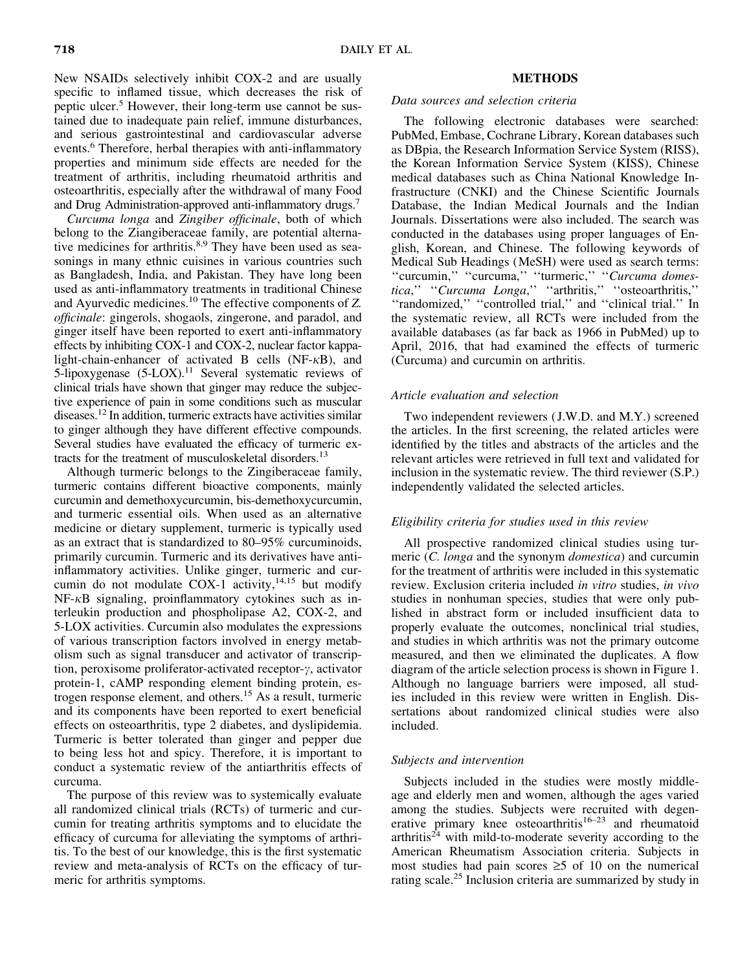New NSAIDs selectively inhibit COX-2 and are usually specific to inflamed tissue, which decreases the risk of peptic ulcer.5 However, their long-term use cannot be sustained due to inadequate pain relief, immune disturbances, and serious gastrointestinal and cardiovascular adverse events.<sup>6</sup> Therefore, herbal therapies with anti-inflammatory properties and minimum side effects are needed for the treatment of arthritis, including rheumatoid arthritis and osteoarthritis, especially after the withdrawal of many Food and Drug Administration-approved anti-inflammatory drugs.7

Curcuma longa and Zingiber officinale, both of which belong to the Ziangiberaceae family, are potential alternative medicines for arthritis.<sup>8,9</sup> They have been used as seasonings in many ethnic cuisines in various countries such as Bangladesh, India, and Pakistan. They have long been used as anti-inflammatory treatments in traditional Chinese and Ayurvedic medicines.<sup>10</sup> The effective components of Z. officinale: gingerols, shogaols, zingerone, and paradol, and ginger itself have been reported to exert anti-inflammatory effects by inhibiting COX-1 and COX-2, nuclear factor kappalight-chain-enhancer of activated B cells ( $NF-\kappa B$ ), and 5-lipoxygenase  $(5\text{-LOX})$ .<sup>11</sup> Several systematic reviews of clinical trials have shown that ginger may reduce the subjective experience of pain in some conditions such as muscular diseases.12 In addition, turmeric extracts have activities similar to ginger although they have different effective compounds. Several studies have evaluated the efficacy of turmeric extracts for the treatment of musculoskeletal disorders.13

Although turmeric belongs to the Zingiberaceae family, turmeric contains different bioactive components, mainly curcumin and demethoxycurcumin, bis-demethoxycurcumin, and turmeric essential oils. When used as an alternative medicine or dietary supplement, turmeric is typically used as an extract that is standardized to 80–95% curcuminoids, primarily curcumin. Turmeric and its derivatives have antiinflammatory activities. Unlike ginger, turmeric and curcumin do not modulate COX-1 activity,<sup>14,15</sup> but modify  $NF-\kappa B$  signaling, proinflammatory cytokines such as interleukin production and phospholipase A2, COX-2, and 5-LOX activities. Curcumin also modulates the expressions of various transcription factors involved in energy metabolism such as signal transducer and activator of transcription, peroxisome proliferator-activated receptor- $\gamma$ , activator protein-1, cAMP responding element binding protein, estrogen response element, and others.<sup>15</sup> As a result, turmeric and its components have been reported to exert beneficial effects on osteoarthritis, type 2 diabetes, and dyslipidemia. Turmeric is better tolerated than ginger and pepper due to being less hot and spicy. Therefore, it is important to conduct a systematic review of the antiarthritis effects of curcuma.

The purpose of this review was to systemically evaluate all randomized clinical trials (RCTs) of turmeric and curcumin for treating arthritis symptoms and to elucidate the efficacy of curcuma for alleviating the symptoms of arthritis. To the best of our knowledge, this is the first systematic review and meta-analysis of RCTs on the efficacy of turmeric for arthritis symptoms.

## METHODS

#### Data sources and selection criteria

The following electronic databases were searched: PubMed, Embase, Cochrane Library, Korean databases such as DBpia, the Research Information Service System (RISS), the Korean Information Service System (KISS), Chinese medical databases such as China National Knowledge Infrastructure (CNKI) and the Chinese Scientific Journals Database, the Indian Medical Journals and the Indian Journals. Dissertations were also included. The search was conducted in the databases using proper languages of English, Korean, and Chinese. The following keywords of Medical Sub Headings (MeSH) were used as search terms: "curcumin," "curcuma," "turmeric," "Curcuma domestica,'' ''Curcuma Longa,'' ''arthritis,'' ''osteoarthritis,'' ''randomized,'' ''controlled trial,'' and ''clinical trial.'' In the systematic review, all RCTs were included from the available databases (as far back as 1966 in PubMed) up to April, 2016, that had examined the effects of turmeric (Curcuma) and curcumin on arthritis.

#### Article evaluation and selection

Two independent reviewers ( J.W.D. and M.Y.) screened the articles. In the first screening, the related articles were identified by the titles and abstracts of the articles and the relevant articles were retrieved in full text and validated for inclusion in the systematic review. The third reviewer (S.P.) independently validated the selected articles.

#### Eligibility criteria for studies used in this review

All prospective randomized clinical studies using turmeric (C. *longa* and the synonym *domestica*) and curcumin for the treatment of arthritis were included in this systematic review. Exclusion criteria included in vitro studies, in vivo studies in nonhuman species, studies that were only published in abstract form or included insufficient data to properly evaluate the outcomes, nonclinical trial studies, and studies in which arthritis was not the primary outcome measured, and then we eliminated the duplicates. A flow diagram of the article selection process is shown in Figure 1. Although no language barriers were imposed, all studies included in this review were written in English. Dissertations about randomized clinical studies were also included.

#### Subjects and intervention

Subjects included in the studies were mostly middleage and elderly men and women, although the ages varied among the studies. Subjects were recruited with degenerative primary knee osteoarthritis<sup>16–23</sup> and rheumatoid arthritis $24$  with mild-to-moderate severity according to the American Rheumatism Association criteria. Subjects in most studies had pain scores  $\geq$ 5 of 10 on the numerical rating scale.25 Inclusion criteria are summarized by study in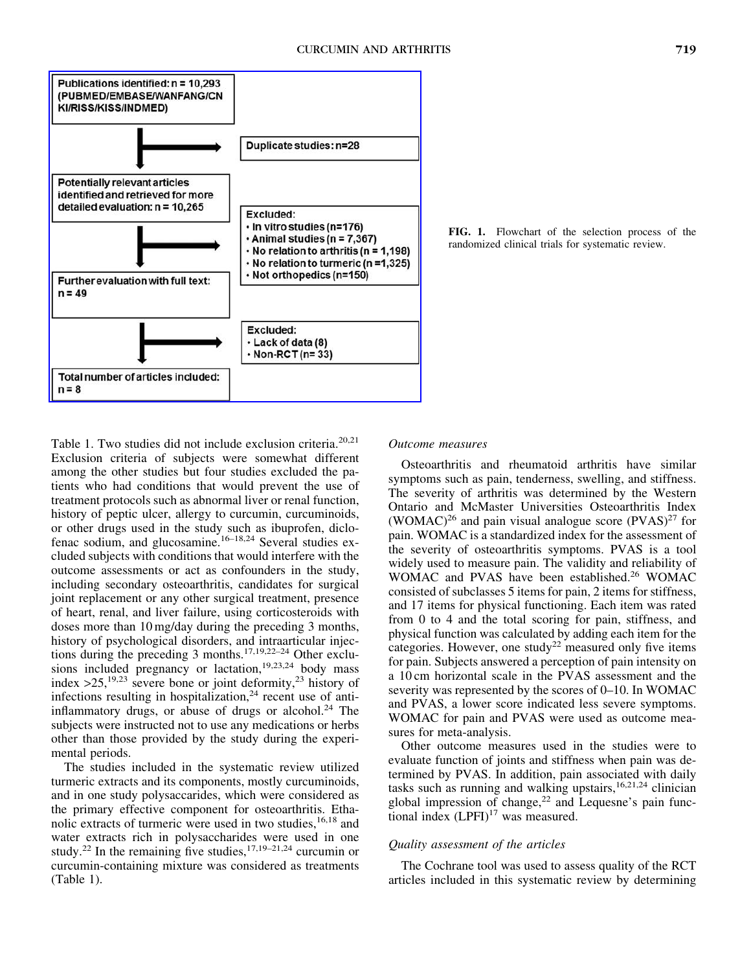

FIG. 1. Flowchart of the selection process of the randomized clinical trials for systematic review.

Table 1. Two studies did not include exclusion criteria.20,21 Exclusion criteria of subjects were somewhat different among the other studies but four studies excluded the patients who had conditions that would prevent the use of treatment protocols such as abnormal liver or renal function, history of peptic ulcer, allergy to curcumin, curcuminoids, or other drugs used in the study such as ibuprofen, diclofenac sodium, and glucosamine.16–18,24 Several studies excluded subjects with conditions that would interfere with the outcome assessments or act as confounders in the study, including secondary osteoarthritis, candidates for surgical joint replacement or any other surgical treatment, presence of heart, renal, and liver failure, using corticosteroids with doses more than 10 mg/day during the preceding 3 months, history of psychological disorders, and intraarticular injections during the preceding 3 months.<sup>17,19,22–24</sup> Other exclusions included pregnancy or lactation,<sup>19,23,24</sup> body mass index  $>25$ ,<sup>19,23</sup> severe bone or joint deformity,<sup>23</sup> history of infections resulting in hospitalization, $24$  recent use of antiinflammatory drugs, or abuse of drugs or alcohol.<sup>24</sup> The subjects were instructed not to use any medications or herbs other than those provided by the study during the experimental periods.

The studies included in the systematic review utilized turmeric extracts and its components, mostly curcuminoids, and in one study polysaccarides, which were considered as the primary effective component for osteoarthritis. Ethanolic extracts of turmeric were used in two studies,  $16,18$  and water extracts rich in polysaccharides were used in one study.<sup>22</sup> In the remaining five studies,<sup>17,19–21,24</sup> curcumin or curcumin-containing mixture was considered as treatments (Table 1).

#### Outcome measures

Osteoarthritis and rheumatoid arthritis have similar symptoms such as pain, tenderness, swelling, and stiffness. The severity of arthritis was determined by the Western Ontario and McMaster Universities Osteoarthritis Index (WOMAC)<sup>26</sup> and pain visual analogue score  $(PVAS)^{27}$  for pain. WOMAC is a standardized index for the assessment of the severity of osteoarthritis symptoms. PVAS is a tool widely used to measure pain. The validity and reliability of WOMAC and PVAS have been established.<sup>26</sup> WOMAC consisted of subclasses 5 items for pain, 2 items for stiffness, and 17 items for physical functioning. Each item was rated from 0 to 4 and the total scoring for pain, stiffness, and physical function was calculated by adding each item for the categories. However, one study<sup>22</sup> measured only five items for pain. Subjects answered a perception of pain intensity on a 10 cm horizontal scale in the PVAS assessment and the severity was represented by the scores of 0–10. In WOMAC and PVAS, a lower score indicated less severe symptoms. WOMAC for pain and PVAS were used as outcome measures for meta-analysis.

Other outcome measures used in the studies were to evaluate function of joints and stiffness when pain was determined by PVAS. In addition, pain associated with daily tasks such as running and walking upstairs,  $16,21,24$  clinician global impression of change, $22$  and Lequesne's pain functional index  $(LPFI)^{17}$  was measured.

# Quality assessment of the articles

The Cochrane tool was used to assess quality of the RCT articles included in this systematic review by determining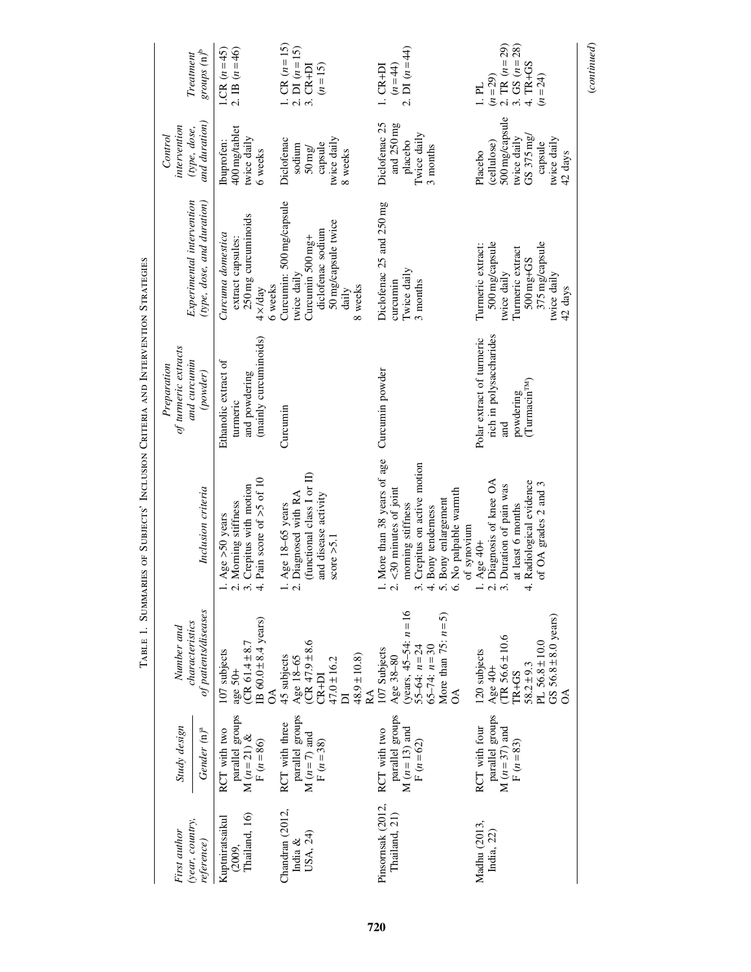| year, country,<br>First author<br>reference) | Study design<br>Gender (n) <sup>a</sup>                            | of patients/diseases<br>characteristics<br>Number and                                                                             | Inclusion criteria                                                                                                                                                                                      | of turmeric extracts<br>and curcumin<br>Preparation<br>(powder)                                       | Experimental intervention<br>(type, dose, and duration)                                                                         | and duration)<br>intervention<br>(type, dose,<br>Control                                                     | $groups$ $\left( n\right) ^{b}$<br>Treatment                                     |
|----------------------------------------------|--------------------------------------------------------------------|-----------------------------------------------------------------------------------------------------------------------------------|---------------------------------------------------------------------------------------------------------------------------------------------------------------------------------------------------------|-------------------------------------------------------------------------------------------------------|---------------------------------------------------------------------------------------------------------------------------------|--------------------------------------------------------------------------------------------------------------|----------------------------------------------------------------------------------|
| Thailand, 16)<br>Kuptniratsaikul<br>(2009,   | parallel groups<br>RCT with two<br>M $(n=21)$ &<br>$F(n=86)$       | <b>B</b> 60.0 ± 8.4 years)<br>$CR61.4 \pm 8.7$<br>107 subjects<br>age 50+<br>$\delta$                                             | Pain score of >5 of 10<br>3. Crepitus with motion<br>2. Morning stiffness<br>$.$ Age >50 years<br>$\frac{1}{4}$                                                                                         | (mainly curcuminoids)<br>Ethanolic extract of<br>and powdering<br>turmeric                            | 250 mg curcuminoids<br>Curcuma domestica<br>extract capsules:<br>6 weeks<br>$4 \times$ /day                                     | 400 mg/tablet<br>twice daily<br>Ibuprofen:<br>6 weeks                                                        | 2. IB $(n=46)$<br>1.CR $(n=45)$                                                  |
| Chandran (2012,<br>USA, 24)<br>India &       | parallel groups<br>RCT with three<br>M $(n=7)$ and<br>$F (n = 38)$ | Age $18-65$<br>(CR 47.9±8.6<br>$48.9 \pm 10.8$<br>45 subjects<br>$47.0 \pm 16.2$<br>$CR+DI$<br>RA                                 | (functional class I or II)<br>2. Diagnosed with RA<br>and disease activity<br>$\Delta$ ge 18-65 years<br>score $>5.1$                                                                                   | Curcumin                                                                                              | Curcumin: 500 mg/capsule<br>50 mg/capsule twice<br>diclofenac sodium<br>Curcumin 500 mg+<br>twice daily<br>8 weeks<br>daily     | twice daily<br>Diclofenac<br>capsule<br>sodium<br>$50\,\mathrm{mg}$<br>8 weeks                               | 1. CR $(n=15)$<br>2. DI $(n=15)$<br>3. CR+DI<br>$(n=15)$                         |
| Pinsornsak (2012,<br>Thailand, 21)           | parallel groups<br>RCT with two<br>$M(n=13)$ and<br>$F(n = 62)$    | years, $45-54$ : $n=16$<br>More than 75: $n=5$ )<br>55–64: $n = 24$<br>65-74: $n=30$<br>107 Subjects<br>Age $38 - 80$<br>$\delta$ | . More than 38 years of age<br>Crepitus on active motion<br><30 minutes of joint<br>6. No palpable warmth<br>. Bony enlargement<br>morning stiffness<br>Bony tenderness<br>of synovium<br>$\mathcal{L}$ | Curcumin powder                                                                                       | Diclofenac 25 and 250 mg<br>Twice daily<br>3 months<br>curcumin                                                                 | Diclofenac 25<br>and 250 mg<br>Twice daily<br>placebo<br>3 months                                            | 2. DI $(n=44)$<br>$(n = 44)$<br>$1.$ CR+DI                                       |
| Madhu (2013,<br>India, 22)                   | parallel groups<br>RCT with four<br>M $(n=37)$ and<br>$F (n = 83)$ | GS $56.8 \pm 8.0$ years)<br>Age 40+<br>(TR 56.6±10.6<br>PL $56.8 \pm 10.0$<br>120 subjects<br>$58.2 \pm 9.3$<br>$IR+GS$<br>రే     | Diagnosis of knee OA<br><b>4.</b> Radiological evidence<br>of OA grades 2 and 3<br>Duration of pain was<br>at least 6 months<br>Age $40+$                                                               | rich in polysaccharides<br>Polar extract of turmeric<br>(Turmacin <sup>TM</sup> )<br>powdering<br>and | 500 mg/capsule<br>375 mg/capsule<br>Turmeric extract:<br>Turmeric extract<br>500 mg+GS<br>twice daily<br>twice daily<br>42 days | 500 mg/capsule<br>$GS$ 375 mg/<br>twice daily<br>twice daily<br>(cellulose)<br>capsule<br>Placebo<br>42 days | 2. TR $(n=29)$<br>3. GS $(n=28)$<br>4. TR+GS<br>$(n = 29)$<br>$(n=24)$<br>$L$ PL |
|                                              |                                                                    |                                                                                                                                   |                                                                                                                                                                                                         |                                                                                                       |                                                                                                                                 |                                                                                                              | (continued)                                                                      |

TABLE 1. SUMMARIES OF SUBJECTS' INCLUSION CRITERIA AND INTERVENTION STRATEGIES Table 1. Summaries of Subjects' Inclusion Criteria and Intervention Strategies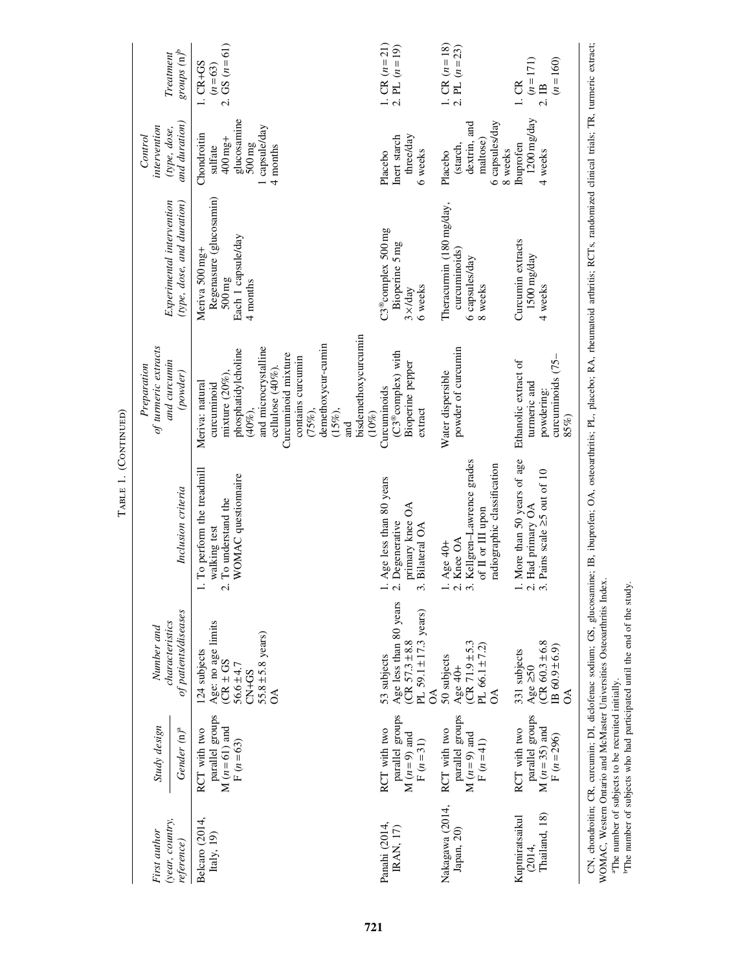| $groups$ $\bf (n)^b$<br>Treatment                               | 2. GS $(n=61)$<br>$1.$ CR+GS<br>$(n=63)$                                                                                                                                                                                                                                    | 1. CR $(n=21)$<br>2. PL $(n=19)$                                                          | 1. CR $(n=18)$<br>2. PL $(n=23)$                                                                           | $(n=171)$<br>$(n=160)$<br>1. C <sub>R</sub><br>$2. \text{ } \Box$                     |
|-----------------------------------------------------------------|-----------------------------------------------------------------------------------------------------------------------------------------------------------------------------------------------------------------------------------------------------------------------------|-------------------------------------------------------------------------------------------|------------------------------------------------------------------------------------------------------------|---------------------------------------------------------------------------------------|
| and duration)<br>intervention<br>(type, dose,<br>Control        | glucosamine<br>1 capsule/day<br>Chondroitin<br>$400\,\mathrm{mg}$<br>500mg<br>sulfate<br>4 months                                                                                                                                                                           | three/day<br>Inert starch<br>6 weeks<br>Placebo                                           | 6 capsules/day<br>dextrin, and<br>maltose)<br>(starch,<br>8 weeks<br>Placebo                               | i <sup>200</sup> mg/day<br><b>Ibuprofen</b><br>4 weeks                                |
| Experimental intervention<br>(type, dose, and duration)         | Regenasure (glucosamin)<br>Each 1 capsule/day<br>Meriva 500 mg+<br>$500\,\mathrm{mg}$<br>4 months                                                                                                                                                                           | C3 <sup>®</sup> complex 500 mg<br>Bioperine 5 mg<br>6 weeks<br>$3 \times$ /day            | Theracurmin (180 mg/day,<br>curcuminoids)<br>6 capsules/day<br>8 weeks                                     | Curcumin extracts<br>$1500\,\mathrm{mg/day}$<br>4 weeks                               |
| of turmeric extracts<br>and curcumin<br>Preparation<br>(powder) | bisdemethoxycurcumin<br>demethoxycur-cumin<br>and microcrystalline<br>phosphatidylcholine<br>Curcuminoid mixture<br>contains curcumin<br>cellulose $(40\%)$ .<br>mixture $(20\%)$ ,<br>Meriva: natural<br>curcuminoid<br>$(40\%).$<br>$(15\%)$<br>$(75%)$ ,<br>(10%)<br>and | (C3 <sup>®</sup> complex) with<br>Bioperine pepper<br>Curcuminoids<br>extract             | powder of curcumin<br>Water dispersible                                                                    | curcuminoids (75–<br>Ethanolic extract of<br>turmeric and<br>powdering:<br>85%)       |
| Inclusion criteria                                              | To perform the treadmill<br>WOMAC questionnaire<br>To understand the<br>walking test                                                                                                                                                                                        | . Age less than 80 years<br>primary knee OA<br>2. Degenerative<br>3. Bilateral OA         | Kellgren-Lawrence grades<br>radiographic classification<br>of II or III upon<br>2. Knee OA<br>$1.$ Age 40+ | . More than 50 years of age<br>3. Pains scale $\geq$ 5 out of 10<br>2. Had primary OA |
| of patients/diseases<br>characteristics<br>Number and           | Age: no age limits<br>$55.8 \pm 5.8$ years)<br>124 subjects<br>$CR \pm GS$<br>$56.6 \pm 4.7$<br>$CN+GS$<br>$\delta$                                                                                                                                                         | Age less than 80 years<br>PL 59.1 $\pm$ 17.3 years)<br>$CR$ 57.3 $\pm$ 8.8<br>53 subjects | Age 40+<br>(CR 71.9 ± 5.3<br>PL $66.1 \pm 7.2$<br>50 subjects<br>$\delta$                                  | Age $\geq 50$<br>(CR 60.3±6.8<br>IB $60.9 \pm 6.9$<br>331 subjects<br>$\delta$        |
| Study design<br>Gender (n) <sup>a</sup>                         | parallel groups<br>$M(n=61)$ and<br>RCT with two<br>$F(n=63)$                                                                                                                                                                                                               | parallel groups<br>RCT with two<br>$M(n=9)$ and<br>$F(n=31)$                              | parallel groups<br>RCT with two<br>$M(n=9)$ and<br>$F(n=41)$                                               | parallel groups<br>M $(n=35)$ and<br>RCT with two<br>$F (n = 296)$                    |
| (year, country,<br>First author<br>reference)                   | Belcaro (2014,<br>Italy, $19$ )                                                                                                                                                                                                                                             | Panahi (2014,<br>IRAN, 17)                                                                | Nakagawa (2014,<br>Japan, 20)                                                                              | Thailand, 18)<br>Kuptniratsaikul<br>(2014.                                            |

Table 1. (Continued)

TABLE 1. (CONTINUED)

CN, chondroitin; CR, curcumin; DI, diclofenac sodium; GS, glucosamine; IB, ibuprofen; OA, osteoarthritis; PL, placebo; RA, rheumatoid arthritis; RCTs, randomized clinical trials; TR, turmeric extract; turmeric extract; IK, mais; липса δ ٳ KA,  $\mathcal{L}$ , place LB, ibuprofen; UA, CN, chondroitin; CR, curcumin; DI, diclofenae sodium; GS, glucosamine; WOMAC, Western Ontario and McMaster Universities Osteoarthritis Index.<br>WOMAC, Western Ontario and McMaster Universities Osteoarthritis Index.<br>"The numb WOMAC, Western Ontario and McMaster Universities Osteoarthritis Index.

aThe number of subjects to be recruited initially.

bThe number of subjects who had participated until the end of the study.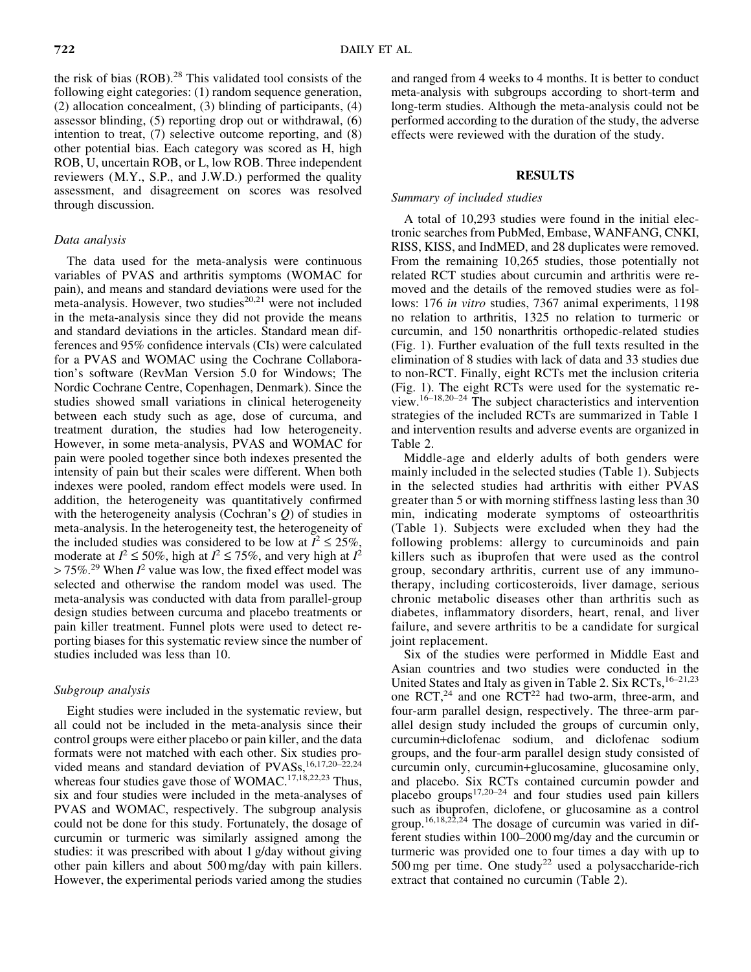the risk of bias (ROB).<sup>28</sup> This validated tool consists of the following eight categories: (1) random sequence generation, (2) allocation concealment, (3) blinding of participants, (4) assessor blinding, (5) reporting drop out or withdrawal, (6) intention to treat, (7) selective outcome reporting, and (8) other potential bias. Each category was scored as H, high ROB, U, uncertain ROB, or L, low ROB. Three independent reviewers (M.Y., S.P., and J.W.D.) performed the quality assessment, and disagreement on scores was resolved through discussion.

## Data analysis

The data used for the meta-analysis were continuous variables of PVAS and arthritis symptoms (WOMAC for pain), and means and standard deviations were used for the  $meta$ -analysis. However, two studies<sup>20,21</sup> were not included in the meta-analysis since they did not provide the means and standard deviations in the articles. Standard mean differences and 95% confidence intervals (CIs) were calculated for a PVAS and WOMAC using the Cochrane Collaboration's software (RevMan Version 5.0 for Windows; The Nordic Cochrane Centre, Copenhagen, Denmark). Since the studies showed small variations in clinical heterogeneity between each study such as age, dose of curcuma, and treatment duration, the studies had low heterogeneity. However, in some meta-analysis, PVAS and WOMAC for pain were pooled together since both indexes presented the intensity of pain but their scales were different. When both indexes were pooled, random effect models were used. In addition, the heterogeneity was quantitatively confirmed with the heterogeneity analysis (Cochran's  $Q$ ) of studies in meta-analysis. In the heterogeneity test, the heterogeneity of the included studies was considered to be low at  $\tilde{l}^2 \le 25\%$ , moderate at  $I^2 \le 50\%$ , high at  $I^2 \le 75\%$ , and very high at  $I^2$  $> 75\%$ <sup>29</sup> When  $I^2$  value was low, the fixed effect model was selected and otherwise the random model was used. The meta-analysis was conducted with data from parallel-group design studies between curcuma and placebo treatments or pain killer treatment. Funnel plots were used to detect reporting biases for this systematic review since the number of studies included was less than 10.

# Subgroup analysis

Eight studies were included in the systematic review, but all could not be included in the meta-analysis since their control groups were either placebo or pain killer, and the data formats were not matched with each other. Six studies provided means and standard deviation of PVASs,<sup>16,17,20-22,24</sup> whereas four studies gave those of WOMAC.<sup>17,18,22,23</sup> Thus, six and four studies were included in the meta-analyses of PVAS and WOMAC, respectively. The subgroup analysis could not be done for this study. Fortunately, the dosage of curcumin or turmeric was similarly assigned among the studies: it was prescribed with about 1 g/day without giving other pain killers and about 500 mg/day with pain killers. However, the experimental periods varied among the studies and ranged from 4 weeks to 4 months. It is better to conduct meta-analysis with subgroups according to short-term and long-term studies. Although the meta-analysis could not be performed according to the duration of the study, the adverse effects were reviewed with the duration of the study.

# RESULTS

#### Summary of included studies

A total of 10,293 studies were found in the initial electronic searches from PubMed, Embase, WANFANG, CNKI, RISS, KISS, and IndMED, and 28 duplicates were removed. From the remaining 10,265 studies, those potentially not related RCT studies about curcumin and arthritis were removed and the details of the removed studies were as follows: 176 in vitro studies, 7367 animal experiments, 1198 no relation to arthritis, 1325 no relation to turmeric or curcumin, and 150 nonarthritis orthopedic-related studies (Fig. 1). Further evaluation of the full texts resulted in the elimination of 8 studies with lack of data and 33 studies due to non-RCT. Finally, eight RCTs met the inclusion criteria (Fig. 1). The eight RCTs were used for the systematic review.16–18,20–24 The subject characteristics and intervention strategies of the included RCTs are summarized in Table 1 and intervention results and adverse events are organized in Table 2.

Middle-age and elderly adults of both genders were mainly included in the selected studies (Table 1). Subjects in the selected studies had arthritis with either PVAS greater than 5 or with morning stiffness lasting less than 30 min, indicating moderate symptoms of osteoarthritis (Table 1). Subjects were excluded when they had the following problems: allergy to curcuminoids and pain killers such as ibuprofen that were used as the control group, secondary arthritis, current use of any immunotherapy, including corticosteroids, liver damage, serious chronic metabolic diseases other than arthritis such as diabetes, inflammatory disorders, heart, renal, and liver failure, and severe arthritis to be a candidate for surgical joint replacement.

Six of the studies were performed in Middle East and Asian countries and two studies were conducted in the United States and Italy as given in Table 2. Six RCTs, <sup>16-21,23</sup> one  $RCT<sup>24</sup>$  and one  $RCT<sup>22</sup>$  had two-arm, three-arm, and four-arm parallel design, respectively. The three-arm parallel design study included the groups of curcumin only, curcumin+diclofenac sodium, and diclofenac sodium groups, and the four-arm parallel design study consisted of curcumin only, curcumin+glucosamine, glucosamine only, and placebo. Six RCTs contained curcumin powder and placebo groups<sup>17,20-24</sup> and four studies used pain killers such as ibuprofen, diclofene, or glucosamine as a control group.16,18,22,24 The dosage of curcumin was varied in different studies within 100–2000 mg/day and the curcumin or turmeric was provided one to four times a day with up to 500 mg per time. One study<sup>22</sup> used a polysaccharide-rich extract that contained no curcumin (Table 2).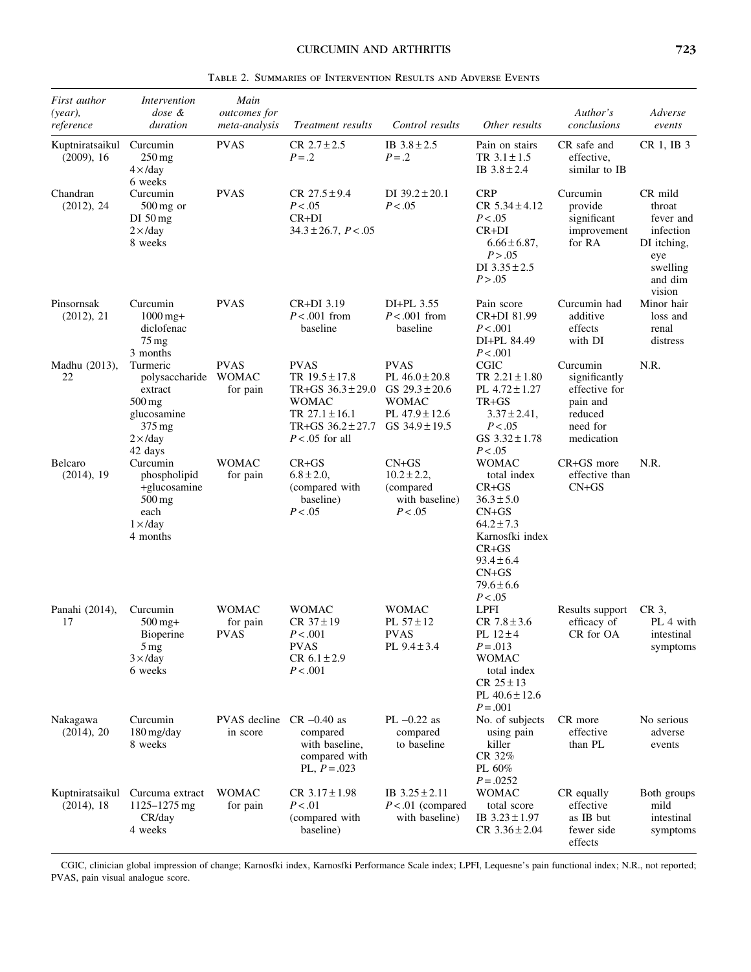# CURCUMIN AND ARTHRITIS 723

| First author<br>$(year)$ ,<br>reference | Intervention<br>dose &<br>duration                                                                                  | Main<br>outcomes for<br>meta-analysis   | <i>Treatment results</i>                                                                                                                   | Control results                                                                                                     | Other results                                                                                                                                                                 | Author's<br>conclusions                                                                     | Adverse<br>events                                                                                  |
|-----------------------------------------|---------------------------------------------------------------------------------------------------------------------|-----------------------------------------|--------------------------------------------------------------------------------------------------------------------------------------------|---------------------------------------------------------------------------------------------------------------------|-------------------------------------------------------------------------------------------------------------------------------------------------------------------------------|---------------------------------------------------------------------------------------------|----------------------------------------------------------------------------------------------------|
| Kuptniratsaikul Curcumin<br>(2009), 16  | $250 \,\mathrm{mg}$<br>$4 \times$ /day<br>6 weeks                                                                   | <b>PVAS</b>                             | $CR$ 2.7 $\pm$ 2.5<br>$P = .2$                                                                                                             | IB $3.8 \pm 2.5$<br>$P = .2$                                                                                        | Pain on stairs<br>TR $3.1 \pm 1.5$<br>IB $3.8 \pm 2.4$                                                                                                                        | CR safe and<br>effective,<br>similar to IB                                                  | $CR$ 1, IB 3                                                                                       |
| Chandran<br>(2012), 24                  | Curcumin<br>$500$ mg or<br>$DI$ 50 mg<br>$2 \times$ /day<br>8 weeks                                                 | <b>PVAS</b>                             | CR $27.5 \pm 9.4$<br>P < .05<br>$CR+DI$<br>$34.3 \pm 26.7$ , $P < .05$                                                                     | DI $39.2 \pm 20.1$<br>P < .05                                                                                       | <b>CRP</b><br>CR $5.34 \pm 4.12$<br>P < .05<br>$CR+DI$<br>$6.66 \pm 6.87$ ,<br>P > .05<br>DI $3.35 \pm 2.5$<br>P > .05                                                        | Curcumin<br>provide<br>significant<br>improvement<br>for RA                                 | CR mild<br>throat<br>fever and<br>infection<br>DI itching,<br>eye<br>swelling<br>and dim<br>vision |
| Pinsornsak<br>(2012), 21                | Curcumin<br>$1000 \,\mathrm{mg} +$<br>diclofenac<br>$75 \,\mathrm{mg}$<br>3 months                                  | <b>PVAS</b>                             | CR+DI 3.19<br>$P < .001$ from<br>baseline                                                                                                  | DI+PL 3.55<br>$P < .001$ from<br>baseline                                                                           | Pain score<br>CR+DI 81.99<br>P < .001<br>DI+PL 84.49<br>P < .001                                                                                                              | Curcumin had<br>additive<br>effects<br>with DI                                              | Minor hair<br>loss and<br>renal<br>distress                                                        |
| Madhu (2013),<br>22                     | Turmeric<br>polysaccharide<br>extract<br>$500 \,\mathrm{mg}$<br>glucosamine<br>375 mg<br>$2 \times$ /day<br>42 days | <b>PVAS</b><br><b>WOMAC</b><br>for pain | <b>PVAS</b><br>TR $19.5 \pm 17.8$<br>TR+GS $36.3 \pm 29.0$<br><b>WOMAC</b><br>TR $27.1 \pm 16.1$<br>TR+GS 36.2 ± 27.7<br>$P < .05$ for all | <b>PVAS</b><br>PL $46.0 \pm 20.8$<br>GS $29.3 \pm 20.6$<br><b>WOMAC</b><br>PL $47.9 \pm 12.6$<br>GS $34.9 \pm 19.5$ | <b>CGIC</b><br>TR $2.21 \pm 1.80$<br>PL $4.72 \pm 1.27$<br>$TR+GS$<br>$3.37 \pm 2.41$ ,<br>P < .05<br>GS $3.32 \pm 1.78$<br>P < .05                                           | Curcumin<br>significantly<br>effective for<br>pain and<br>reduced<br>need for<br>medication | N.R.                                                                                               |
| Belcaro<br>(2014), 19                   | Curcumin<br>phospholipid<br>+glucosamine<br>$500 \,\mathrm{mg}$<br>each<br>$1 \times$ /day<br>4 months              | <b>WOMAC</b><br>for pain                | $CR + GS$<br>$6.8 \pm 2.0$ ,<br>(compared with<br>baseline)<br>P < .05                                                                     | $CN+GS$<br>$10.2 \pm 2.2$ ,<br>(compared<br>with baseline)<br>P < .05                                               | <b>WOMAC</b><br>total index<br>$CR+GS$<br>$36.3 \pm 5.0$<br>$CN+GS$<br>$64.2 \pm 7.3$<br>Karnosfki index<br>$CR+GS$<br>$93.4 \pm 6.4$<br>$CN+GS$<br>$79.6 \pm 6.6$<br>P < .05 | CR+GS more<br>effective than<br>$CN+GS$                                                     | N.R.                                                                                               |
| Panahi (2014),<br>17                    | Curcumin<br>$500 \,\mathrm{mg} +$<br>Bioperine<br>5 mg<br>$3 \times$ /day<br>6 weeks                                | <b>WOMAC</b><br>for pain<br><b>PVAS</b> | <b>WOMAC</b><br>$CR$ 37 $\pm$ 19<br>P < .001<br><b>PVAS</b><br>CR $6.1 \pm 2.9$<br>P < .001                                                | <b>WOMAC</b><br>PL $57 \pm 12$<br><b>PVAS</b><br>PL $9.4 \pm 3.4$                                                   | <b>LPFI</b><br>$CR$ 7.8 $\pm$ 3.6<br>PL $12 \pm 4$<br>$P = .013$<br><b>WOMAC</b><br>total index<br>CR $25 \pm 13$<br>PL $40.6 \pm 12.6$<br>$P = .001$                         | Results support<br>efficacy of<br>CR for OA                                                 | CR 3,<br>PL 4 with<br>intestinal<br>symptoms                                                       |
| Nakagawa<br>(2014), 20                  | Curcumin<br>180 mg/day<br>8 weeks                                                                                   | PVAS decline $CR -0.40$ as<br>in score  | compared<br>with baseline,<br>compared with<br>PL, $P = .023$                                                                              | $PL -0.22$ as<br>compared<br>to baseline                                                                            | No. of subjects<br>using pain<br>killer<br>CR 32%<br>PL 60%<br>$P = 0.0252$                                                                                                   | CR more<br>effective<br>than PL                                                             | No serious<br>adverse<br>events                                                                    |
| Kuptniratsaikul<br>(2014), 18           | Curcuma extract<br>1125-1275 mg<br>CR/day<br>4 weeks                                                                | <b>WOMAC</b><br>for pain                | $CR$ 3.17 $\pm$ 1.98<br>P < .01<br>(compared with<br>baseline)                                                                             | IB $3.25 \pm 2.11$<br>$P < .01$ (compared<br>with baseline)                                                         | <b>WOMAC</b><br>total score<br>IB $3.23 \pm 1.97$<br>CR $3.36 \pm 2.04$                                                                                                       | CR equally<br>effective<br>as IB but<br>fewer side<br>effects                               | Both groups<br>mild<br>intestinal<br>symptoms                                                      |

Table 2. Summaries of Intervention Results and Adverse Events

CGIC, clinician global impression of change; Karnosfki index, Karnosfki Performance Scale index; LPFI, Lequesne's pain functional index; N.R., not reported; PVAS, pain visual analogue score.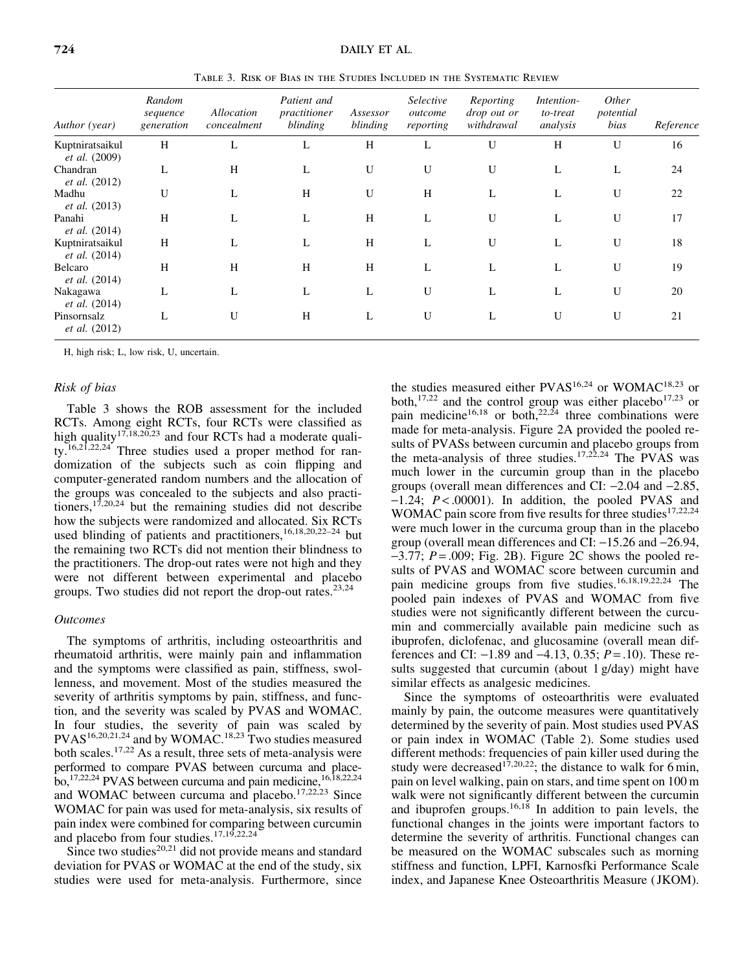|                                         | Random<br>sequence | Allocation  | Patient and<br>practitioner | Assessor | Selective<br>outcome | Reporting<br><i>drop out</i> or | Intention-<br>to-treat | Other<br>potential |           |
|-----------------------------------------|--------------------|-------------|-----------------------------|----------|----------------------|---------------------------------|------------------------|--------------------|-----------|
| Author (year)                           | generation         | concealment | blinding                    | blinding | reporting            | withdrawal                      | analysis               | bias               | Reference |
| Kuptniratsaikul<br><i>et al.</i> (2009) | H                  | L           | L                           | H        | L                    | U                               | H                      | U                  | 16        |
| Chandran<br>et al. (2012)               | L                  | H           | L                           | U        | U                    | U                               | L                      | L                  | 24        |
| Madhu<br>et al. (2013)                  | U                  | L           | H                           | U        | H                    | L                               | L                      | U                  | 22        |
| Panahi<br>et al. (2014)                 | H                  | L           | L                           | H        | L                    | U                               | L                      | U                  | 17        |
| Kuptniratsaikul<br>et al. (2014)        | H                  | L           | L                           | H        | L                    | U                               | L                      | U                  | 18        |
| Belcaro<br>et al. (2014)                | H                  | H           | H                           | H        | L                    | L                               | L                      | U                  | 19        |
| Nakagawa<br>et al. (2014)               | L                  | L           | L                           | L        | U                    | L                               |                        | U                  | 20        |
| Pinsornsalz<br>et al. (2012)            |                    | U           | H                           | L        | U                    | L                               | U                      | U                  | 21        |

Table 3. Risk of Bias in the Studies Included in the Systematic Review

H, high risk; L, low risk, U, uncertain.

#### Risk of bias

Table 3 shows the ROB assessment for the included RCTs. Among eight RCTs, four RCTs were classified as high quality<sup>17,18,20,23</sup> and four RCTs had a moderate quality.16,21,22,24 Three studies used a proper method for randomization of the subjects such as coin flipping and computer-generated random numbers and the allocation of the groups was concealed to the subjects and also practitioners,  $17,20,24$  but the remaining studies did not describe how the subjects were randomized and allocated. Six RCTs used blinding of patients and practitioners, 16,18,20,22-24 but the remaining two RCTs did not mention their blindness to the practitioners. The drop-out rates were not high and they were not different between experimental and placebo groups. Two studies did not report the drop-out rates. $23,24$ 

#### **Outcomes**

The symptoms of arthritis, including osteoarthritis and rheumatoid arthritis, were mainly pain and inflammation and the symptoms were classified as pain, stiffness, swollenness, and movement. Most of the studies measured the severity of arthritis symptoms by pain, stiffness, and function, and the severity was scaled by PVAS and WOMAC. In four studies, the severity of pain was scaled by  $PVAS^{16,20,21,24}$  and by WOMAC.<sup>18,23</sup> Two studies measured both scales.<sup>17,22</sup> As a result, three sets of meta-analysis were performed to compare PVAS between curcuma and placebo,<sup>17,22,24</sup> PVAS between curcuma and pain medicine,  $16,18,22,24$ and WOMAC between curcuma and placebo.17,22,23 Since WOMAC for pain was used for meta-analysis, six results of pain index were combined for comparing between curcumin and placebo from four studies.<sup>17,19,22,24</sup>

Since two studies $^{20,21}$  did not provide means and standard deviation for PVAS or WOMAC at the end of the study, six studies were used for meta-analysis. Furthermore, since the studies measured either PVAS<sup>16,24</sup> or WOMAC<sup>18,23</sup> or both,<sup>17,22</sup> and the control group was either placebo<sup>17,23</sup> or pain medicine<sup>16,18</sup> or both,<sup>22,24</sup> three combinations were made for meta-analysis. Figure 2A provided the pooled results of PVASs between curcumin and placebo groups from the meta-analysis of three studies.17,22,24 The PVAS was much lower in the curcumin group than in the placebo groups (overall mean differences and CI:  $-2.04$  and  $-2.85$ ,  $-1.24$ ;  $P < .00001$ ). In addition, the pooled PVAS and WOMAC pain score from five results for three studies<sup>17,22,24</sup> were much lower in the curcuma group than in the placebo group (overall mean differences and CI:  $-15.26$  and  $-26.94$ ,  $-3.77$ ;  $P = .009$ ; Fig. 2B). Figure 2C shows the pooled results of PVAS and WOMAC score between curcumin and pain medicine groups from five studies.16,18,19,22,24 The pooled pain indexes of PVAS and WOMAC from five studies were not significantly different between the curcumin and commercially available pain medicine such as ibuprofen, diclofenac, and glucosamine (overall mean differences and CI:  $-1.89$  and  $-4.13$ , 0.35;  $P = .10$ ). These results suggested that curcumin (about 1 g/day) might have similar effects as analgesic medicines.

Since the symptoms of osteoarthritis were evaluated mainly by pain, the outcome measures were quantitatively determined by the severity of pain. Most studies used PVAS or pain index in WOMAC (Table 2). Some studies used different methods: frequencies of pain killer used during the study were decreased<sup>17,20,22</sup>; the distance to walk for 6 min, pain on level walking, pain on stars, and time spent on 100 m walk were not significantly different between the curcumin and ibuprofen groups.<sup>16,18</sup> In addition to pain levels, the functional changes in the joints were important factors to determine the severity of arthritis. Functional changes can be measured on the WOMAC subscales such as morning stiffness and function, LPFI, Karnosfki Performance Scale index, and Japanese Knee Osteoarthritis Measure ( JKOM).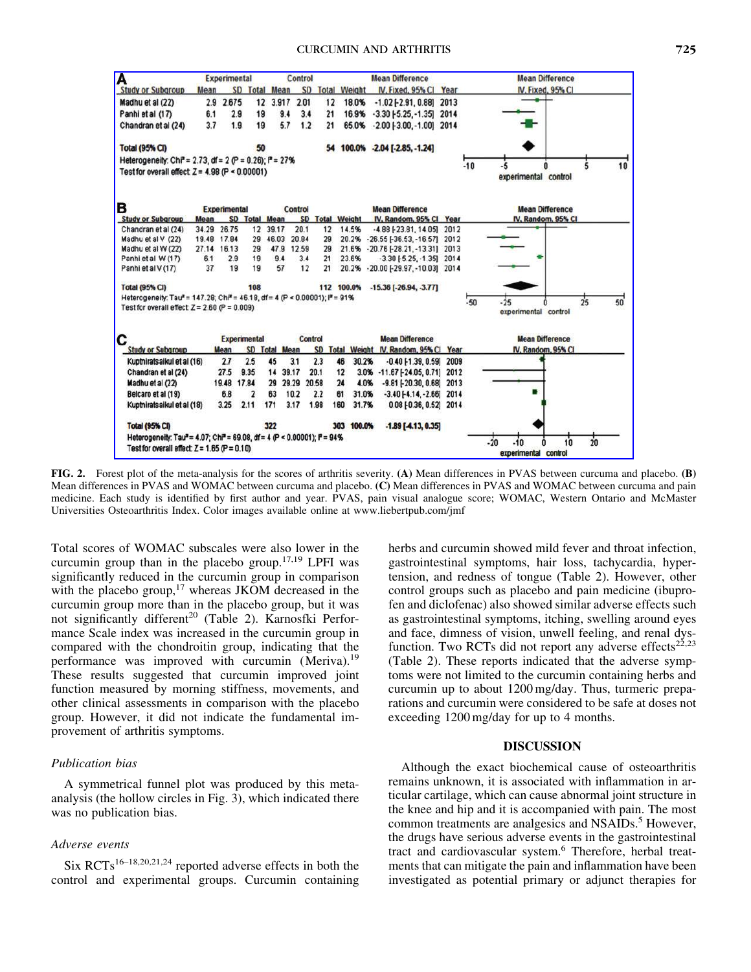

FIG. 2. Forest plot of the meta-analysis for the scores of arthritis severity. (A) Mean differences in PVAS between curcuma and placebo. (B) Mean differences in PVAS and WOMAC between curcuma and placebo. (C) Mean differences in PVAS and WOMAC between curcuma and pain medicine. Each study is identified by first author and year. PVAS, pain visual analogue score; WOMAC, Western Ontario and McMaster Universities Osteoarthritis Index. Color images available online at www.liebertpub.com/jmf

Total scores of WOMAC subscales were also lower in the curcumin group than in the placebo group.17,19 LPFI was significantly reduced in the curcumin group in comparison with the placebo group, $17$  whereas JKOM decreased in the curcumin group more than in the placebo group, but it was not significantly different<sup>20</sup> (Table 2). Karnosfki Performance Scale index was increased in the curcumin group in compared with the chondroitin group, indicating that the performance was improved with curcumin (Meriva).<sup>19</sup> These results suggested that curcumin improved joint function measured by morning stiffness, movements, and other clinical assessments in comparison with the placebo group. However, it did not indicate the fundamental improvement of arthritis symptoms.

## Publication bias

A symmetrical funnel plot was produced by this metaanalysis (the hollow circles in Fig. 3), which indicated there was no publication bias.

#### Adverse events

Six RCTs<sup>16–18,20,21,24</sup> reported adverse effects in both the control and experimental groups. Curcumin containing herbs and curcumin showed mild fever and throat infection, gastrointestinal symptoms, hair loss, tachycardia, hypertension, and redness of tongue (Table 2). However, other control groups such as placebo and pain medicine (ibuprofen and diclofenac) also showed similar adverse effects such as gastrointestinal symptoms, itching, swelling around eyes and face, dimness of vision, unwell feeling, and renal dysfunction. Two RCTs did not report any adverse effects<sup>22,23</sup> (Table 2). These reports indicated that the adverse symptoms were not limited to the curcumin containing herbs and curcumin up to about 1200 mg/day. Thus, turmeric preparations and curcumin were considered to be safe at doses not exceeding 1200 mg/day for up to 4 months.

# DISCUSSION

Although the exact biochemical cause of osteoarthritis remains unknown, it is associated with inflammation in articular cartilage, which can cause abnormal joint structure in the knee and hip and it is accompanied with pain. The most common treatments are analgesics and NSAIDs.<sup>5</sup> However, the drugs have serious adverse events in the gastrointestinal tract and cardiovascular system.<sup>6</sup> Therefore, herbal treatments that can mitigate the pain and inflammation have been investigated as potential primary or adjunct therapies for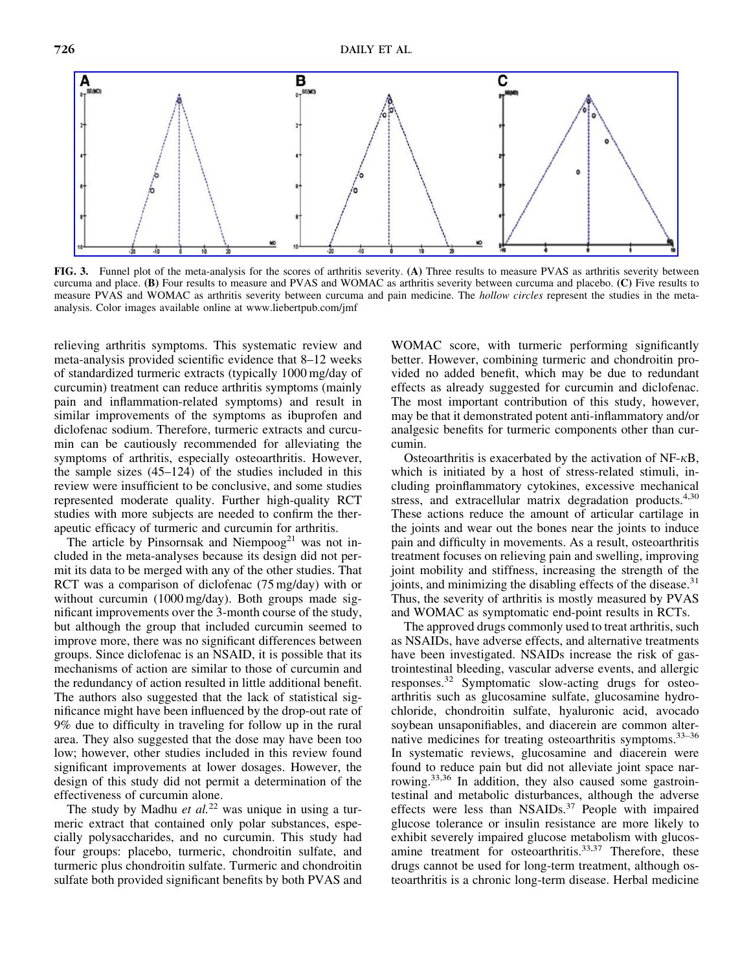

FIG. 3. Funnel plot of the meta-analysis for the scores of arthritis severity. (A) Three results to measure PVAS as arthritis severity between curcuma and place. (B) Four results to measure and PVAS and WOMAC as arthritis severity between curcuma and placebo. (C) Five results to measure PVAS and WOMAC as arthritis severity between curcuma and pain medicine. The hollow circles represent the studies in the metaanalysis. Color images available online at www.liebertpub.com/jmf

relieving arthritis symptoms. This systematic review and meta-analysis provided scientific evidence that 8–12 weeks of standardized turmeric extracts (typically 1000 mg/day of curcumin) treatment can reduce arthritis symptoms (mainly pain and inflammation-related symptoms) and result in similar improvements of the symptoms as ibuprofen and diclofenac sodium. Therefore, turmeric extracts and curcumin can be cautiously recommended for alleviating the symptoms of arthritis, especially osteoarthritis. However, the sample sizes (45–124) of the studies included in this review were insufficient to be conclusive, and some studies represented moderate quality. Further high-quality RCT studies with more subjects are needed to confirm the therapeutic efficacy of turmeric and curcumin for arthritis.

The article by Pinsornsak and Niempoog<sup>21</sup> was not included in the meta-analyses because its design did not permit its data to be merged with any of the other studies. That RCT was a comparison of diclofenac (75 mg/day) with or without curcumin (1000 mg/day). Both groups made significant improvements over the 3-month course of the study, but although the group that included curcumin seemed to improve more, there was no significant differences between groups. Since diclofenac is an NSAID, it is possible that its mechanisms of action are similar to those of curcumin and the redundancy of action resulted in little additional benefit. The authors also suggested that the lack of statistical significance might have been influenced by the drop-out rate of 9% due to difficulty in traveling for follow up in the rural area. They also suggested that the dose may have been too low; however, other studies included in this review found significant improvements at lower dosages. However, the design of this study did not permit a determination of the effectiveness of curcumin alone.

The study by Madhu et  $al.^{22}$  was unique in using a turmeric extract that contained only polar substances, especially polysaccharides, and no curcumin. This study had four groups: placebo, turmeric, chondroitin sulfate, and turmeric plus chondroitin sulfate. Turmeric and chondroitin sulfate both provided significant benefits by both PVAS and WOMAC score, with turmeric performing significantly better. However, combining turmeric and chondroitin provided no added benefit, which may be due to redundant effects as already suggested for curcumin and diclofenac. The most important contribution of this study, however, may be that it demonstrated potent anti-inflammatory and/or analgesic benefits for turmeric components other than curcumin.

Osteoarthritis is exacerbated by the activation of  $NF-\kappa B$ , which is initiated by a host of stress-related stimuli, including proinflammatory cytokines, excessive mechanical stress, and extracellular matrix degradation products.<sup>4,30</sup> These actions reduce the amount of articular cartilage in the joints and wear out the bones near the joints to induce pain and difficulty in movements. As a result, osteoarthritis treatment focuses on relieving pain and swelling, improving joint mobility and stiffness, increasing the strength of the joints, and minimizing the disabling effects of the disease. $31$ Thus, the severity of arthritis is mostly measured by PVAS and WOMAC as symptomatic end-point results in RCTs.

The approved drugs commonly used to treat arthritis, such as NSAIDs, have adverse effects, and alternative treatments have been investigated. NSAIDs increase the risk of gastrointestinal bleeding, vascular adverse events, and allergic responses.32 Symptomatic slow-acting drugs for osteoarthritis such as glucosamine sulfate, glucosamine hydrochloride, chondroitin sulfate, hyaluronic acid, avocado soybean unsaponifiables, and diacerein are common alternative medicines for treating osteoarthritis symptoms.33–36 In systematic reviews, glucosamine and diacerein were found to reduce pain but did not alleviate joint space narrowing.33,36 In addition, they also caused some gastrointestinal and metabolic disturbances, although the adverse effects were less than NSAIDs.<sup>37</sup> People with impaired glucose tolerance or insulin resistance are more likely to exhibit severely impaired glucose metabolism with glucosamine treatment for osteoarthritis. $33,37$  Therefore, these drugs cannot be used for long-term treatment, although osteoarthritis is a chronic long-term disease. Herbal medicine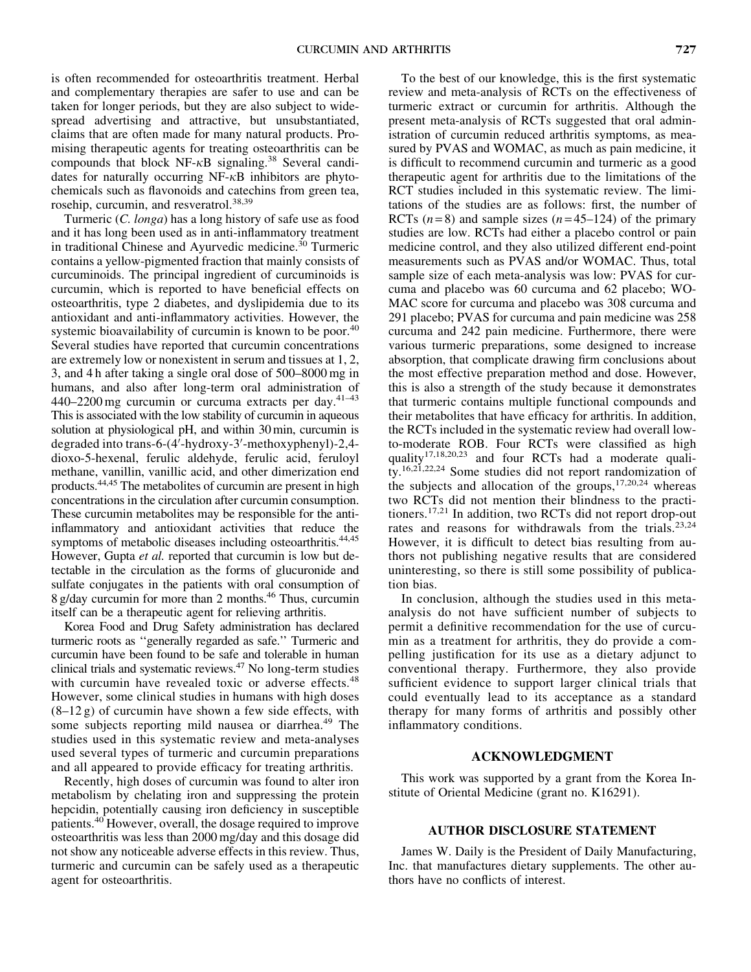is often recommended for osteoarthritis treatment. Herbal and complementary therapies are safer to use and can be taken for longer periods, but they are also subject to widespread advertising and attractive, but unsubstantiated, claims that are often made for many natural products. Promising therapeutic agents for treating osteoarthritis can be compounds that block NF- $\kappa$ B signaling.<sup>38</sup> Several candidates for naturally occurring  $NF-\kappa B$  inhibitors are phytochemicals such as flavonoids and catechins from green tea, rosehip, curcumin, and resveratrol.<sup>38,39</sup>

Turmeric (C. longa) has a long history of safe use as food and it has long been used as in anti-inflammatory treatment in traditional Chinese and Ayurvedic medicine.<sup>30</sup> Turmeric contains a yellow-pigmented fraction that mainly consists of curcuminoids. The principal ingredient of curcuminoids is curcumin, which is reported to have beneficial effects on osteoarthritis, type 2 diabetes, and dyslipidemia due to its antioxidant and anti-inflammatory activities. However, the systemic bioavailability of curcumin is known to be poor.<sup>40</sup> Several studies have reported that curcumin concentrations are extremely low or nonexistent in serum and tissues at 1, 2, 3, and 4 h after taking a single oral dose of 500–8000 mg in humans, and also after long-term oral administration of 440–2200 mg curcumin or curcuma extracts per day. $41-43$ This is associated with the low stability of curcumin in aqueous solution at physiological pH, and within 30 min, curcumin is degraded into trans-6-(4'-hydroxy-3'-methoxyphenyl)-2,4dioxo-5-hexenal, ferulic aldehyde, ferulic acid, feruloyl methane, vanillin, vanillic acid, and other dimerization end products.44,45 The metabolites of curcumin are present in high concentrations in the circulation after curcumin consumption. These curcumin metabolites may be responsible for the antiinflammatory and antioxidant activities that reduce the symptoms of metabolic diseases including osteoarthritis.<sup>44,45</sup> However, Gupta *et al.* reported that curcumin is low but detectable in the circulation as the forms of glucuronide and sulfate conjugates in the patients with oral consumption of 8 g/day curcumin for more than 2 months.<sup>46</sup> Thus, curcumin itself can be a therapeutic agent for relieving arthritis.

Korea Food and Drug Safety administration has declared turmeric roots as ''generally regarded as safe.'' Turmeric and curcumin have been found to be safe and tolerable in human clinical trials and systematic reviews.47 No long-term studies with curcumin have revealed toxic or adverse effects.<sup>48</sup> However, some clinical studies in humans with high doses  $(8-12 \text{ g})$  of curcumin have shown a few side effects, with some subjects reporting mild nausea or diarrhea.<sup>49</sup> The studies used in this systematic review and meta-analyses used several types of turmeric and curcumin preparations and all appeared to provide efficacy for treating arthritis.

Recently, high doses of curcumin was found to alter iron metabolism by chelating iron and suppressing the protein hepcidin, potentially causing iron deficiency in susceptible patients.40 However, overall, the dosage required to improve osteoarthritis was less than 2000 mg/day and this dosage did not show any noticeable adverse effects in this review. Thus, turmeric and curcumin can be safely used as a therapeutic agent for osteoarthritis.

To the best of our knowledge, this is the first systematic review and meta-analysis of RCTs on the effectiveness of turmeric extract or curcumin for arthritis. Although the present meta-analysis of RCTs suggested that oral administration of curcumin reduced arthritis symptoms, as measured by PVAS and WOMAC, as much as pain medicine, it is difficult to recommend curcumin and turmeric as a good therapeutic agent for arthritis due to the limitations of the RCT studies included in this systematic review. The limitations of the studies are as follows: first, the number of RCTs  $(n=8)$  and sample sizes  $(n=45-124)$  of the primary studies are low. RCTs had either a placebo control or pain medicine control, and they also utilized different end-point measurements such as PVAS and/or WOMAC. Thus, total sample size of each meta-analysis was low: PVAS for curcuma and placebo was 60 curcuma and 62 placebo; WO-MAC score for curcuma and placebo was 308 curcuma and 291 placebo; PVAS for curcuma and pain medicine was 258 curcuma and 242 pain medicine. Furthermore, there were various turmeric preparations, some designed to increase absorption, that complicate drawing firm conclusions about the most effective preparation method and dose. However, this is also a strength of the study because it demonstrates that turmeric contains multiple functional compounds and their metabolites that have efficacy for arthritis. In addition, the RCTs included in the systematic review had overall lowto-moderate ROB. Four RCTs were classified as high quality17,18,20,23 and four RCTs had a moderate quality.16,21,22,24 Some studies did not report randomization of the subjects and allocation of the groups, $17,20,24$  whereas two RCTs did not mention their blindness to the practitioners.17,21 In addition, two RCTs did not report drop-out rates and reasons for withdrawals from the trials. $23,24$ However, it is difficult to detect bias resulting from authors not publishing negative results that are considered uninteresting, so there is still some possibility of publication bias.

In conclusion, although the studies used in this metaanalysis do not have sufficient number of subjects to permit a definitive recommendation for the use of curcumin as a treatment for arthritis, they do provide a compelling justification for its use as a dietary adjunct to conventional therapy. Furthermore, they also provide sufficient evidence to support larger clinical trials that could eventually lead to its acceptance as a standard therapy for many forms of arthritis and possibly other inflammatory conditions.

# ACKNOWLEDGMENT

This work was supported by a grant from the Korea Institute of Oriental Medicine (grant no. K16291).

# AUTHOR DISCLOSURE STATEMENT

James W. Daily is the President of Daily Manufacturing, Inc. that manufactures dietary supplements. The other authors have no conflicts of interest.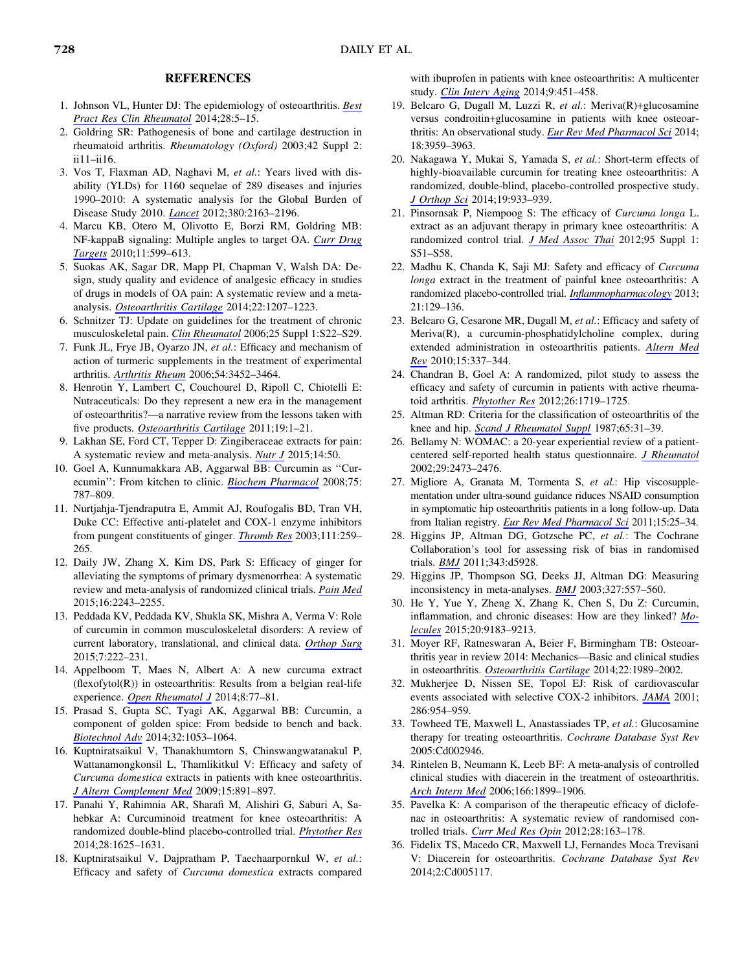#### REFERENCES

- 1. Johnson VL, Hunter DJ: The epidemiology of osteoarthritis. [Best](http://online.liebertpub.com/action/showLinks?pmid=24792942&crossref=10.1016%2Fj.berh.2014.01.004) [Pract Res Clin Rheumatol](http://online.liebertpub.com/action/showLinks?pmid=24792942&crossref=10.1016%2Fj.berh.2014.01.004) 2014;28:5–15.
- 2. Goldring SR: Pathogenesis of bone and cartilage destruction in rheumatoid arthritis. Rheumatology (Oxford) 2003;42 Suppl 2: ii11–ii16.
- 3. Vos T, Flaxman AD, Naghavi M, et al.: Years lived with disability (YLDs) for 1160 sequelae of 289 diseases and injuries 1990–2010: A systematic analysis for the Global Burden of Disease Study 2010. [Lancet](http://online.liebertpub.com/action/showLinks?pmid=23245607&crossref=10.1016%2FS0140-6736%2812%2961729-2) 2012;380:2163–2196.
- 4. Marcu KB, Otero M, Olivotto E, Borzi RM, Goldring MB: NF-kappaB signaling: Multiple angles to target OA. [Curr Drug](http://online.liebertpub.com/action/showLinks?pmid=20199390&crossref=10.2174%2F138945010791011938) [Targets](http://online.liebertpub.com/action/showLinks?pmid=20199390&crossref=10.2174%2F138945010791011938) 2010;11:599–613.
- 5. Suokas AK, Sagar DR, Mapp PI, Chapman V, Walsh DA: Design, study quality and evidence of analgesic efficacy in studies of drugs in models of OA pain: A systematic review and a metaanalysis. [Osteoarthritis Cartilage](http://online.liebertpub.com/action/showLinks?pmid=25008207&crossref=10.1016%2Fj.joca.2014.06.015) 2014;22:1207–1223.
- 6. Schnitzer TJ: Update on guidelines for the treatment of chronic musculoskeletal pain. [Clin Rheumatol](http://online.liebertpub.com/action/showLinks?pmid=16741783&crossref=10.1007%2Fs10067-006-0203-8) 2006;25 Suppl 1:S22–S29.
- 7. Funk JL, Frye JB, Oyarzo JN, et al.: Efficacy and mechanism of action of turmeric supplements in the treatment of experimental arthritis. [Arthritis Rheum](http://online.liebertpub.com/action/showLinks?pmid=17075840&crossref=10.1002%2Fart.22180) 2006;54:3452–3464.
- 8. Henrotin Y, Lambert C, Couchourel D, Ripoll C, Chiotelli E: Nutraceuticals: Do they represent a new era in the management of osteoarthritis?—a narrative review from the lessons taken with five products. [Osteoarthritis Cartilage](http://online.liebertpub.com/action/showLinks?pmid=21035558&crossref=10.1016%2Fj.joca.2010.10.017) 2011;19:1–21.
- 9. Lakhan SE, Ford CT, Tepper D: Zingiberaceae extracts for pain: A systematic review and meta-analysis. [Nutr J](http://online.liebertpub.com/action/showLinks?pmid=25972154&crossref=10.1186%2Fs12937-015-0038-8) 2015;14:50.
- 10. Goel A, Kunnumakkara AB, Aggarwal BB: Curcumin as ''Curecumin'': From kitchen to clinic. [Biochem Pharmacol](http://online.liebertpub.com/action/showLinks?pmid=17900536&crossref=10.1016%2Fj.bcp.2007.08.016) 2008;75: 787–809.
- 11. Nurtjahja-Tjendraputra E, Ammit AJ, Roufogalis BD, Tran VH, Duke CC: Effective anti-platelet and COX-1 enzyme inhibitors from pungent constituents of ginger. [Thromb Res](http://online.liebertpub.com/action/showLinks?pmid=14693173&crossref=10.1016%2Fj.thromres.2003.09.009) 2003;111:259– 265.
- 12. Daily JW, Zhang X, Kim DS, Park S: Efficacy of ginger for alleviating the symptoms of primary dysmenorrhea: A systematic review and meta-analysis of randomized clinical trials. [Pain Med](http://online.liebertpub.com/action/showLinks?pmid=26177393&crossref=10.1111%2Fpme.12853) 2015;16:2243–2255.
- 13. Peddada KV, Peddada KV, Shukla SK, Mishra A, Verma V: Role of curcumin in common musculoskeletal disorders: A review of current laboratory, translational, and clinical data. [Orthop Surg](http://online.liebertpub.com/action/showLinks?pmid=26311096&crossref=10.1111%2Fos.12183) 2015;7:222–231.
- 14. Appelboom T, Maes N, Albert A: A new curcuma extract (flexofytol(R)) in osteoarthritis: Results from a belgian real-life experience. [Open Rheumatol J](http://online.liebertpub.com/action/showLinks?pmid=25352926&crossref=10.2174%2F1874312901408010077) 2014;8:77-81.
- 15. Prasad S, Gupta SC, Tyagi AK, Aggarwal BB: Curcumin, a component of golden spice: From bedside to bench and back. [Biotechnol Adv](http://online.liebertpub.com/action/showLinks?pmid=24793420&crossref=10.1016%2Fj.biotechadv.2014.04.004) 2014;32:1053–1064.
- 16. Kuptniratsaikul V, Thanakhumtorn S, Chinswangwatanakul P, Wattanamongkonsil L, Thamlikitkul V: Efficacy and safety of Curcuma domestica extracts in patients with knee osteoarthritis. [J Altern Complement Med](http://online.liebertpub.com/action/showLinks?system=10.1089%2Facm.2008.0186) 2009;15:891–897.
- 17. Panahi Y, Rahimnia AR, Sharafi M, Alishiri G, Saburi A, Sahebkar A: Curcuminoid treatment for knee osteoarthritis: A randomized double-blind placebo-controlled trial. [Phytother Res](http://online.liebertpub.com/action/showLinks?pmid=24853120&crossref=10.1002%2Fptr.5174) 2014;28:1625–1631.
- 18. Kuptniratsaikul V, Dajpratham P, Taechaarpornkul W, et al.: Efficacy and safety of Curcuma domestica extracts compared

with ibuprofen in patients with knee osteoarthritis: A multicenter study. [Clin Interv Aging](http://online.liebertpub.com/action/showLinks?pmid=24672232&crossref=10.2147%2FCIA.S58535) 2014;9:451–458.

- 19. Belcaro G, Dugall M, Luzzi R, et al.: Meriva(R)+glucosamine versus condroitin+glucosamine in patients with knee osteoarthritis: An observational study. [Eur Rev Med Pharmacol Sci](http://online.liebertpub.com/action/showLinks?pmid=25555891) 2014; 18:3959–3963.
- 20. Nakagawa Y, Mukai S, Yamada S, et al.: Short-term effects of highly-bioavailable curcumin for treating knee osteoarthritis: A randomized, double-blind, placebo-controlled prospective study. [J Orthop Sci](http://online.liebertpub.com/action/showLinks?pmid=25308211&crossref=10.1007%2Fs00776-014-0633-0) 2014;19:933–939.
- 21. Pinsornsak P, Niempoog S: The efficacy of Curcuma longa L. extract as an adjuvant therapy in primary knee osteoarthritis: A randomized control trial. [J Med Assoc Thai](http://online.liebertpub.com/action/showLinks?pmid=23964444) 2012;95 Suppl 1: S51–S58.
- 22. Madhu K, Chanda K, Saji MJ: Safety and efficacy of Curcuma longa extract in the treatment of painful knee osteoarthritis: A randomized placebo-controlled trial. [Inflammopharmacology](http://online.liebertpub.com/action/showLinks?pmid=23242572&crossref=10.1007%2Fs10787-012-0163-3) 2013; 21:129–136.
- 23. Belcaro G, Cesarone MR, Dugall M, et al.: Efficacy and safety of Meriva(R), a curcumin-phosphatidylcholine complex, during extended administration in osteoarthritis patients. [Altern Med](http://online.liebertpub.com/action/showLinks?pmid=21194249) [Rev](http://online.liebertpub.com/action/showLinks?pmid=21194249) 2010;15:337–344.
- 24. Chandran B, Goel A: A randomized, pilot study to assess the efficacy and safety of curcumin in patients with active rheumatoid arthritis. [Phytother Res](http://online.liebertpub.com/action/showLinks?pmid=22407780&crossref=10.1002%2Fptr.4639) 2012;26:1719–1725.
- 25. Altman RD: Criteria for the classification of osteoarthritis of the knee and hip. [Scand J Rheumatol Suppl](http://online.liebertpub.com/action/showLinks?pmid=3317807&crossref=10.3109%2F03009748709102175) 1987;65:31-39.
- 26. Bellamy N: WOMAC: a 20-year experiential review of a patientcentered self-reported health status questionnaire. [J Rheumatol](http://online.liebertpub.com/action/showLinks?pmid=12465137) 2002;29:2473–2476.
- 27. Migliore A, Granata M, Tormenta S, et al.: Hip viscosupplementation under ultra-sound guidance riduces NSAID consumption in symptomatic hip osteoarthritis patients in a long follow-up. Data from Italian registry. [Eur Rev Med Pharmacol Sci](http://online.liebertpub.com/action/showLinks?pmid=21381497) 2011;15:25–34.
- 28. Higgins JP, Altman DG, Gotzsche PC, et al.: The Cochrane Collaboration's tool for assessing risk of bias in randomised trials. [BMJ](http://online.liebertpub.com/action/showLinks?pmid=22008217&crossref=10.1136%2Fbmj.d5928) 2011;343:d5928.
- 29. Higgins JP, Thompson SG, Deeks JJ, Altman DG: Measuring inconsistency in meta-analyses. [BMJ](http://online.liebertpub.com/action/showLinks?pmid=12958120&crossref=10.1136%2Fbmj.327.7414.557) 2003;327:557–560.
- 30. He Y, Yue Y, Zheng X, Zhang K, Chen S, Du Z: Curcumin, inflammation, and chronic diseases: How are they linked? [Mo](http://online.liebertpub.com/action/showLinks?pmid=26007179&crossref=10.3390%2Fmolecules20059183)[lecules](http://online.liebertpub.com/action/showLinks?pmid=26007179&crossref=10.3390%2Fmolecules20059183) 2015;20:9183–9213.
- 31. Moyer RF, Ratneswaran A, Beier F, Birmingham TB: Osteoarthritis year in review 2014: Mechanics—Basic and clinical studies in osteoarthritis. [Osteoarthritis Cartilage](http://online.liebertpub.com/action/showLinks?pmid=25456294&crossref=10.1016%2Fj.joca.2014.06.034) 2014;22:1989–2002.
- 32. Mukherjee D, Nissen SE, Topol EJ: Risk of cardiovascular events associated with selective COX-2 inhibitors. [JAMA](http://online.liebertpub.com/action/showLinks?pmid=11509060&crossref=10.1001%2Fjama.286.8.954) 2001; 286:954–959.
- 33. Towheed TE, Maxwell L, Anastassiades TP, et al.: Glucosamine therapy for treating osteoarthritis. Cochrane Database Syst Rev 2005:Cd002946.
- 34. Rintelen B, Neumann K, Leeb BF: A meta-analysis of controlled clinical studies with diacerein in the treatment of osteoarthritis. [Arch Intern Med](http://online.liebertpub.com/action/showLinks?pmid=17000948&crossref=10.1001%2Farchinte.166.17.1899) 2006;166:1899–1906.
- 35. Pavelka K: A comparison of the therapeutic efficacy of diclofenac in osteoarthritis: A systematic review of randomised controlled trials. [Curr Med Res Opin](http://online.liebertpub.com/action/showLinks?pmid=22168216&crossref=10.1185%2F03007995.2011.649848) 2012;28:163–178.
- 36. Fidelix TS, Macedo CR, Maxwell LJ, Fernandes Moca Trevisani V: Diacerein for osteoarthritis. Cochrane Database Syst Rev 2014;2:Cd005117.